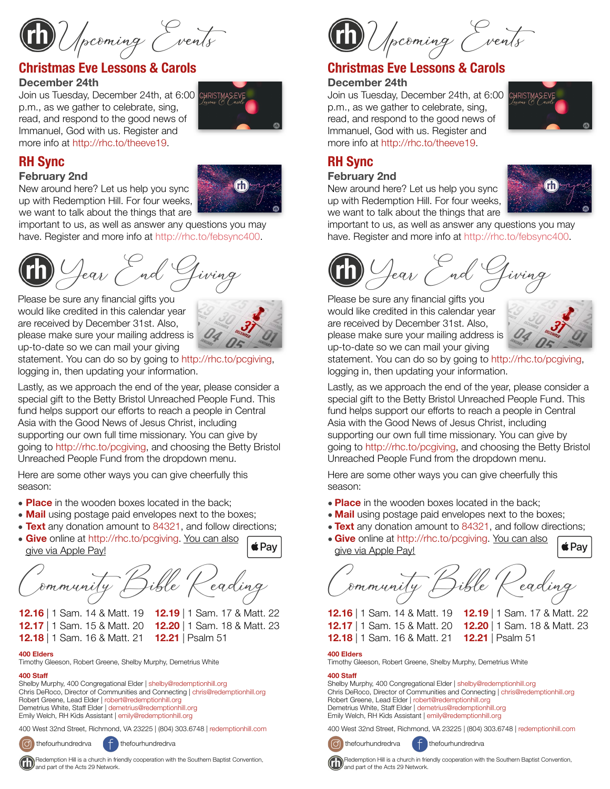Upcoming Events

#### **Christmas Eve Lessons & Carols**

#### **December 24th**

Join us Tuesday, December 24th, at 6:00 CHRISTMASEV p.m., as we gather to celebrate, sing, read, and respond to the good news of Immanuel, God with us. Register and more info at <http://rhc.to/theeve19>.



#### **February 2nd**

New around here? Let us help you sync up with Redemption Hill. For four weeks, we want to talk about the things that are



important to us, as well as answer any questions you may have. Register and more info at<http://rhc.to/febsync400>.

Year End Giving **D** Year End G

Please be sure any financial gifts you would like credited in this calendar year are received by December 31st. Also, please make sure your mailing address is up-to-date so we can mail your giving



statement. You can do so by going to [http://rhc.to/pcgiving,](http://rhc.to/pcgiving) logging in, then updating your information.

Lastly, as we approach the end of the year, please consider a special gift to the Betty Bristol Unreached People Fund. This fund helps support our efforts to reach a people in Central Asia with the Good News of Jesus Christ, including supporting our own full time missionary. You can give by going to [http://rhc.to/pcgiving,](http://rhc.to/pcgiving) and choosing the Betty Bristol Unreached People Fund from the dropdown menu.

Here are some other ways you can give cheerfully this season:

- **Place** in the wooden boxes located in the back;
- **Mail** using postage paid envelopes next to the boxes;
- **Text** any donation amount to 84321, and follow directions;
- **Give** online at<http://rhc.to/pcgiving>. You can also give via Apple Pay!

ommunity Dible Keadin

**12.16** | 1 Sam. 14 & Matt. 19 **12.19** | 1 Sam. 17 & Matt. 22 **12.17** | 1 Sam. 15 & Matt. 20 **12.20** | 1 Sam. 18 & Matt. 23

*∎*Pay

- **12.18** | 1 Sam. 16 & Matt. 21 **12.21** | Psalm 51
- **400 Elders**

Timothy Gleeson, Robert Greene, Shelby Murphy, Demetrius White

#### **400 Staff**

Shelby Murphy, 400 Congregational Elder | [shelby@redemptionhill.org](mailto:shelby@redemptionhill.org) Chris DeRoco, Director of Communities and Connecting | [chris@redemptionhill.org](mailto:chris@redemptionhill.org) Robert Greene, Lead Elder | [robert@redemptionhill.org](mailto:robert@redemptionhill.org) Demetrius White, Staff Elder | [demetrius@redemptionhill.org](mailto:demetrius@redemptionhill.org) Emily Welch, RH Kids Assistant | [emily@redemptionhill.org](mailto:emily@redemptionhill.org)

400 West 32nd Street, Richmond, VA 23225 | (804) 303.6748 | [redemptionhill.com](http://redemptionhill.com)



thefourhundredrva fhthefourhundredrva



Upcoming Events

### **Christmas Eve Lessons & Carols**

#### **December 24th**

Join us Tuesday, December 24th, at 6:00 p.m., as we gather to celebrate, sing, read, and respond to the good news of Immanuel, God with us. Register and more info at [http://rhc.to/theeve19.](http://rhc.to/theeve19)



# **RH Sync**

#### **February 2nd**

New around here? Let us help you sync up with Redemption Hill. For four weeks, we want to talk about the things that are



important to us, as well as answer any questions you may have. Register and more info at<http://rhc.to/febsync400>.



Please be sure any financial gifts you would like credited in this calendar year are received by December 31st. Also, please make sure your mailing address is up-to-date so we can mail your giving



statement. You can do so by going to [http://rhc.to/pcgiving,](http://rhc.to/pcgiving) logging in, then updating your information.

Lastly, as we approach the end of the year, please consider a special gift to the Betty Bristol Unreached People Fund. This fund helps support our efforts to reach a people in Central Asia with the Good News of Jesus Christ, including supporting our own full time missionary. You can give by going to <http://rhc.to/pcgiving>, and choosing the Betty Bristol Unreached People Fund from the dropdown menu.

Here are some other ways you can give cheerfully this season:

- **Place** in the wooden boxes located in the back;
- **Mail** using postage paid envelopes next to the boxes;
- **Text** any donation amount to 84321, and follow directions; • **Give** online at [http://rhc.to/pcgiving.](http://rhc.to/pcgiving) You can also  $\acute{\bm{\bm{\mathsf{s}}}}$  Pay give via Apple Pay!

 $p$ ammunily  $D$ ible  $K$ eading

**12.16** | 1 Sam. 14 & Matt. 19 **12.19** | 1 Sam. 17 & Matt. 22 **12.17** | 1 Sam. 15 & Matt. 20 **12.20** | 1 Sam. 18 & Matt. 23 **12.18** | 1 Sam. 16 & Matt. 21 **12.21** | Psalm 51

**400 Elders** 

Timothy Gleeson, Robert Greene, Shelby Murphy, Demetrius White

#### **400 Staff**

Shelby Murphy, 400 Congregational Elder | [shelby@redemptionhill.org](mailto:shelby@redemptionhill.org) Chris DeRoco, Director of Communities and Connecting | [chris@redemptionhill.org](mailto:chris@redemptionhill.org) Robert Greene, Lead Elder | [robert@redemptionhill.org](mailto:robert@redemptionhill.org) Demetrius White, Staff Elder | [demetrius@redemptionhill.org](mailto:demetrius@redemptionhill.org) Emily Welch, RH Kids Assistant | [emily@redemptionhill.org](mailto:emily@redemptionhill.org)

400 West 32nd Street, Richmond, VA 23225 | (804) 303.6748 | [redemptionhill.com](http://redemptionhill.com)



 Redemption Hill is a church in friendly cooperation with the Southern Baptist Convention, and part of the Acts 29 Network.